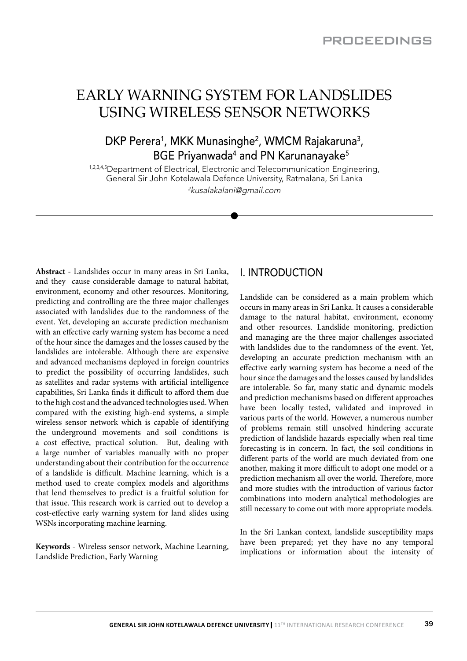# EARLY WARNING SYSTEM FOR LANDSLIDES USING WIRELESS SENSOR NETWORKS

## DKP Perera<sup>1</sup>, MKK Munasinghe<sup>2</sup>, WMCM Rajakaruna<sup>3</sup>, BGE Priyanwada<sup>4</sup> and PN Karunanayake<sup>5</sup>

1,2,3,4,5 Department of Electrical, Electronic and Telecommunication Engineering, General Sir John Kotelawala Defence University, Ratmalana, Sri Lanka 2kusalakalani@gmail.com

**Abstract -** Landslides occur in many areas in Sri Lanka, and they cause considerable damage to natural habitat, environment, economy and other resources. Monitoring, predicting and controlling are the three major challenges associated with landslides due to the randomness of the event. Yet, developing an accurate prediction mechanism with an effective early warning system has become a need of the hour since the damages and the losses caused by the landslides are intolerable. Although there are expensive and advanced mechanisms deployed in foreign countries to predict the possibility of occurring landslides, such as satellites and radar systems with artificial intelligence capabilities, Sri Lanka finds it difficult to afford them due to the high cost and the advanced technologies used. When compared with the existing high-end systems, a simple wireless sensor network which is capable of identifying the underground movements and soil conditions is a cost effective, practical solution. But, dealing with a large number of variables manually with no proper understanding about their contribution for the occurrence of a landslide is difficult. Machine learning, which is a method used to create complex models and algorithms that lend themselves to predict is a fruitful solution for that issue. This research work is carried out to develop a cost-effective early warning system for land slides using WSNs incorporating machine learning.

**Keywords** - Wireless sensor network, Machine Learning, Landslide Prediction, Early Warning

## I. INTRODUCTION

Landslide can be considered as a main problem which occurs in many areas in Sri Lanka. It causes a considerable damage to the natural habitat, environment, economy and other resources. Landslide monitoring, prediction and managing are the three major challenges associated with landslides due to the randomness of the event. Yet, developing an accurate prediction mechanism with an effective early warning system has become a need of the hour since the damages and the losses caused by landslides are intolerable. So far, many static and dynamic models and prediction mechanisms based on different approaches have been locally tested, validated and improved in various parts of the world. However, a numerous number of problems remain still unsolved hindering accurate prediction of landslide hazards especially when real time forecasting is in concern. In fact, the soil conditions in different parts of the world are much deviated from one another, making it more difficult to adopt one model or a prediction mechanism all over the world. Therefore, more and more studies with the introduction of various factor combinations into modern analytical methodologies are still necessary to come out with more appropriate models.

In the Sri Lankan context, landslide susceptibility maps have been prepared; yet they have no any temporal implications or information about the intensity of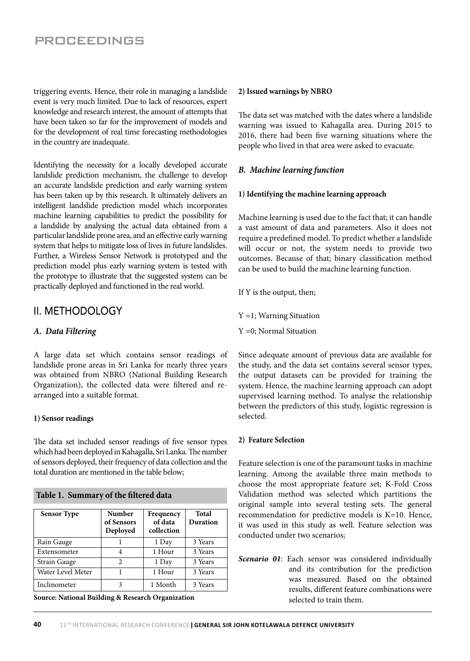triggering events. Hence, their role in managing a landslide event is very much limited. Due to lack of resources, expert knowledge and research interest, the amount of attempts that have been taken so far for the improvement of models and for the development of real time forecasting methodologies in the country are inadequate.

Identifying the necessity for a locally developed accurate landslide prediction mechanism, the challenge to develop an accurate landslide prediction and early warning system has been taken up by this research. It ultimately delivers an intelligent landslide prediction model which incorporates machine learning capabilities to predict the possibility for a landslide by analysing the actual data obtained from a particular landslide prone area, and an effective early warning system that helps to mitigate loss of lives in future landslides. Further, a Wireless Sensor Network is prototyped and the prediction model plus early warning system is tested with the prototype to illustrate that the suggested system can be practically deployed and functioned in the real world.

## II. METHODOLOGY

### *A. Data Filtering*

A large data set which contains sensor readings of landslide prone areas in Sri Lanka for nearly three years was obtained from NBRO (National Building Research Organization), the collected data were filtered and rearranged into a suitable format.

#### **1) Sensor readings**

The data set included sensor readings of five sensor types which had been deployed in Kahagalla, Sri Lanka. The number of sensors deployed, their frequency of data collection and the total duration are mentioned in the table below;

| <b>Sensor Type</b> | <b>Number</b><br>of Sensors<br>Deployed | Frequency<br>of data<br>collection | Total<br>Duration |
|--------------------|-----------------------------------------|------------------------------------|-------------------|
| Rain Gauge         |                                         | 1 Day                              | 3 Years           |
| Extensometer       |                                         | 1 Hour                             | 3 Years           |
| Strain Gauge       | 2                                       | 1 Day                              | 3 Years           |
| Water Level Meter  |                                         | 1 Hour                             | 3 Years           |
| Inclinometer       | 3                                       | 1 Month                            | 3 Years           |

**Source: National Building & Research Organization**

**Table 1. Summary of the filtered data**

#### **2) Issued warnings by NBRO**

The data set was matched with the dates where a landslide warning was issued to Kahagalla area. During 2015 to 2016, there had been five warning situations where the people who lived in that area were asked to evacuate.

### *B. Machine learning function*

#### **1) Identifying the machine learning approach**

Machine learning is used due to the fact that; it can handle a vast amount of data and parameters. Also it does not require a predefined model. To predict whether a landslide will occur or not, the system needs to provide two outcomes. Because of that; binary classification method can be used to build the machine learning function.

If Y is the output, then;

Y =1; Warning Situation

Y =0; Normal Situation

Since adequate amount of previous data are available for the study, and the data set contains several sensor types, the output datasets can be provided for training the system. Hence, the machine learning approach can adopt supervised learning method. To analyse the relationship between the predictors of this study, logistic regression is selected.

#### **2) Feature Selection**

Feature selection is one of the paramount tasks in machine learning. Among the available three main methods to choose the most appropriate feature set; K-Fold Cross Validation method was selected which partitions the original sample into several testing sets. The general recommendation for predictive models is K=10. Hence, it was used in this study as well. Feature selection was conducted under two scenarios;

*Scenario 01*: Each sensor was considered individually and its contribution for the prediction was measured. Based on the obtained results, different feature combinations were selected to train them.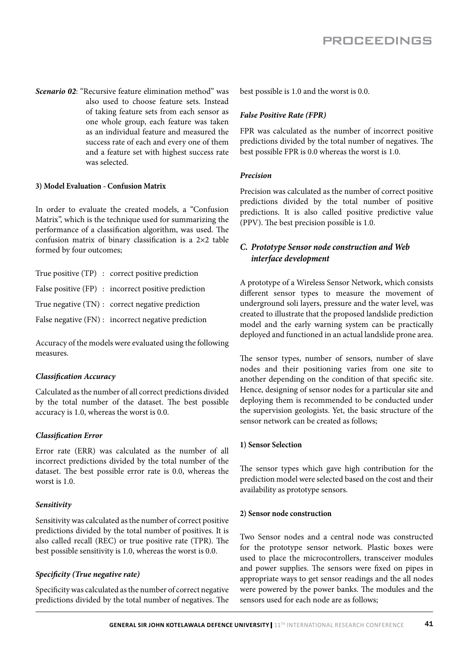*Scenario 02*: "Recursive feature elimination method" was also used to choose feature sets. Instead of taking feature sets from each sensor as one whole group, each feature was taken as an individual feature and measured the success rate of each and every one of them and a feature set with highest success rate was selected.

#### **3) Model Evaluation - Confusion Matrix**

In order to evaluate the created models, a "Confusion Matrix", which is the technique used for summarizing the performance of a classification algorithm, was used. The confusion matrix of binary classification is a 2×2 table formed by four outcomes;

| True positive (TP) : correct positive prediction    |
|-----------------------------------------------------|
| False positive (FP) : incorrect positive prediction |
| True negative (TN) : correct negative prediction    |
| False negative (FN) : incorrect negative prediction |

Accuracy of the models were evaluated using the following measures.

#### *Classification Accuracy*

Calculated as the number of all correct predictions divided by the total number of the dataset. The best possible accuracy is 1.0, whereas the worst is 0.0.

#### *Classification Error*

Error rate (ERR) was calculated as the number of all incorrect predictions divided by the total number of the dataset. The best possible error rate is 0.0, whereas the worst is 1.0.

#### *Sensitivity*

Sensitivity was calculated as the number of correct positive predictions divided by the total number of positives. It is also called recall (REC) or true positive rate (TPR). The best possible sensitivity is 1.0, whereas the worst is 0.0.

#### *Specificity (True negative rate)*

Specificity was calculated as the number of correct negative predictions divided by the total number of negatives. The best possible is 1.0 and the worst is 0.0.

#### *False Positive Rate (FPR)*

FPR was calculated as the number of incorrect positive predictions divided by the total number of negatives. The best possible FPR is 0.0 whereas the worst is 1.0.

#### *Precision*

Precision was calculated as the number of correct positive predictions divided by the total number of positive predictions. It is also called positive predictive value (PPV). The best precision possible is 1.0.

### *C. Prototype Sensor node construction and Web interface development*

A prototype of a Wireless Sensor Network, which consists different sensor types to measure the movement of underground soli layers, pressure and the water level, was created to illustrate that the proposed landslide prediction model and the early warning system can be practically deployed and functioned in an actual landslide prone area.

The sensor types, number of sensors, number of slave nodes and their positioning varies from one site to another depending on the condition of that specific site. Hence, designing of sensor nodes for a particular site and deploying them is recommended to be conducted under the supervision geologists. Yet, the basic structure of the sensor network can be created as follows;

#### **1) Sensor Selection**

The sensor types which gave high contribution for the prediction model were selected based on the cost and their availability as prototype sensors.

#### **2) Sensor node construction**

Two Sensor nodes and a central node was constructed for the prototype sensor network. Plastic boxes were used to place the microcontrollers, transceiver modules and power supplies. The sensors were fixed on pipes in appropriate ways to get sensor readings and the all nodes were powered by the power banks. The modules and the sensors used for each node are as follows;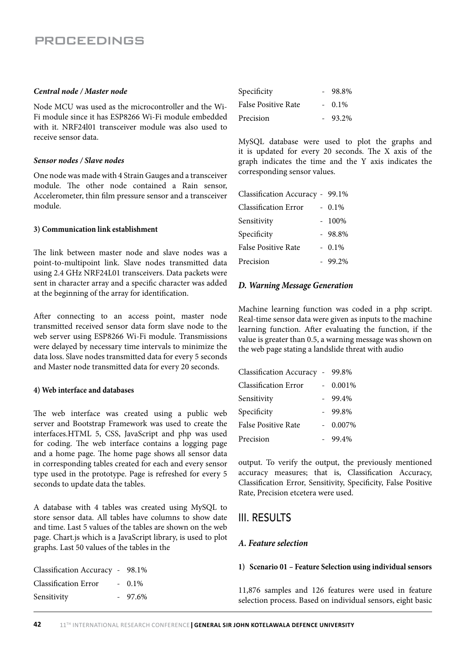#### *Central node / Master node*

Node MCU was used as the microcontroller and the Wi-Fi module since it has ESP8266 Wi-Fi module embedded with it. NRF24l01 transceiver module was also used to receive sensor data.

#### *Sensor nodes / Slave nodes*

One node was made with 4 Strain Gauges and a transceiver module. The other node contained a Rain sensor, Accelerometer, thin film pressure sensor and a transceiver module.

#### **3) Communication link establishment**

The link between master node and slave nodes was a point-to-multipoint link. Slave nodes transmitted data using 2.4 GHz NRF24L01 transceivers. Data packets were sent in character array and a specific character was added at the beginning of the array for identification.

After connecting to an access point, master node transmitted received sensor data form slave node to the web server using ESP8266 Wi-Fi module. Transmissions were delayed by necessary time intervals to minimize the data loss. Slave nodes transmitted data for every 5 seconds and Master node transmitted data for every 20 seconds.

#### **4) Web interface and databases**

The web interface was created using a public web server and Bootstrap Framework was used to create the interfaces.HTML 5, CSS, JavaScript and php was used for coding. The web interface contains a logging page and a home page. The home page shows all sensor data in corresponding tables created for each and every sensor type used in the prototype. Page is refreshed for every 5 seconds to update data the tables.

A database with 4 tables was created using MySQL to store sensor data. All tables have columns to show date and time. Last 5 values of the tables are shown on the web page. Chart.js which is a JavaScript library, is used to plot graphs. Last 50 values of the tables in the

| Classification Accuracy - 98.1% |           |
|---------------------------------|-----------|
| <b>Classification Error</b>     | $-0.1\%$  |
| Sensitivity                     | $-97.6\%$ |

| Specificity         | 98.8%     |
|---------------------|-----------|
| False Positive Rate | $-0.1\%$  |
| Precision           | $-93.2\%$ |

MySQL database were used to plot the graphs and it is updated for every 20 seconds. The X axis of the graph indicates the time and the Y axis indicates the corresponding sensor values.

| Classification Accuracy - 99.1% |
|---------------------------------|
| $-0.1\%$                        |
| $-100\%$                        |
| $-98.8%$                        |
| $-0.1\%$                        |
| $-99.2%$                        |
|                                 |

#### *D. Warning Message Generation*

Machine learning function was coded in a php script. Real-time sensor data were given as inputs to the machine learning function. After evaluating the function, if the value is greater than 0.5, a warning message was shown on the web page stating a landslide threat with audio

| Classification Accuracy - 99.8% |        |
|---------------------------------|--------|
| <b>Classification Error</b>     | 0.001% |
| Sensitivity                     | 99.4%  |
| Specificity                     | 99.8%  |
| <b>False Positive Rate</b>      | 0.007% |
| Precision                       | 99.4%  |

output. To verify the output, the previously mentioned accuracy measures; that is, Classification Accuracy, Classification Error, Sensitivity, Specificity, False Positive Rate, Precision etcetera were used.

### III. RESULTS

### *A. Feature selection*

#### **1) Scenario 01 – Feature Selection using individual sensors**

11,876 samples and 126 features were used in feature selection process. Based on individual sensors, eight basic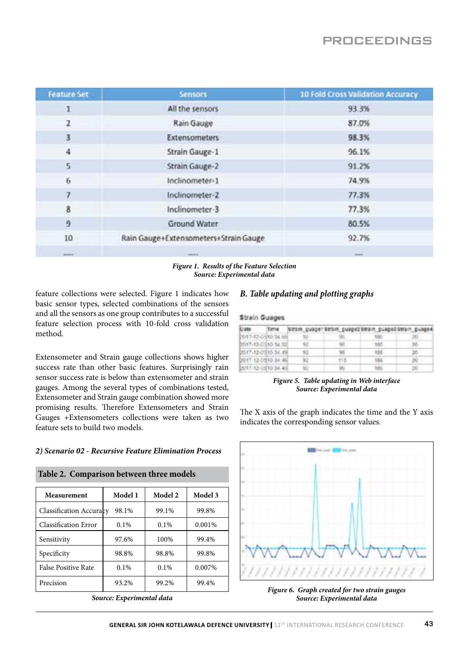| <b>Feature Set</b> | <b>Sensors</b>                        | <b>10 Fold Cross Validation Accuracy</b> |
|--------------------|---------------------------------------|------------------------------------------|
| 1                  | All the sensors                       | 93.3%                                    |
| $\mathbf{z}$       | Rain Gauge                            | 87.0%                                    |
| 3                  | Extensometers                         | 98.3%                                    |
| 4                  | Strain Gauge-1                        | 96.1%                                    |
| 5                  | Strain Gauge-2                        | 91.2%                                    |
| 6                  | Inclinometer-1                        | 74.9%                                    |
| $\overline{7}$     | Inclinometer-2                        | 77.3%                                    |
| 8                  | Inclinometer-3                        | 77.3%                                    |
| 9                  | Ground Water                          | 80.5%                                    |
| 10                 | Rain Gauge+Extensometers+Strain Gauge | 92.7%                                    |
|                    | the company of                        |                                          |

#### *Figure 1. Results of the Feature Selection Source: Experimental data*

feature collections were selected. Figure 1 indicates how basic sensor types, selected combinations of the sensors and all the sensors as one group contributes to a successful feature selection process with 10-fold cross validation method.

Extensometer and Strain gauge collections shows higher success rate than other basic features. Surprisingly rain sensor success rate is below than extensometer and strain gauges. Among the several types of combinations tested, Extensometer and Strain gauge combination showed more promising results. Therefore Extensometers and Strain Gauges +Extensometers collections were taken as two feature sets to build two models.

#### *2) Scenario 02 - Recursive Feature Elimination Process*

| Table 2. Comparison between three models |         |         |         |
|------------------------------------------|---------|---------|---------|
| Measurement                              | Model 1 | Model 2 | Model 3 |
| <b>Classification Accuracy</b>           | 98.1%   | 99.1%   | 99.8%   |
| <b>Classification Error</b>              | 0.1%    | 0.1%    | 0.001%  |
| Sensitivity                              | 97.6%   | 100%    | 99.4%   |
| Specificity                              | 98.8%   | 98.8%   | 99.8%   |
| False Positive Rate                      | $0.1\%$ | 0.1%    | 0.007%  |
| Precision                                | 93.2%   | 99.2%   | 99.4%   |
|                                          |         |         |         |

*Source: Experimental data*

### *B. Table updating and plotting graphs*

#### **Strain Guages**

| <b>Cate</b>         |     | Time Strain guage1/Strain guage2/Strain guage2/Strain guage4 |          |        |
|---------------------|-----|--------------------------------------------------------------|----------|--------|
| D017-12-05/10 34 no |     |                                                              |          |        |
| 0017-12-0910 34:52  | 92. | -90                                                          | $-150$   | -20    |
| 0017-12-0310.34.4%  | 92  | 96                                                           | 156      | 2ó     |
| 2017-12-05/10 34:45 | 92  | $-113$                                                       | 155      | $-20$  |
| 2017-12-05/10:34:45 | 92  | 1,85                                                         | $-188 -$ | $-250$ |

#### *Figure 5. Table updating in Web interface Source: Experimental data*

The X axis of the graph indicates the time and the Y axis indicates the corresponding sensor values.



*Figure 6. Graph created for two strain gauges Source: Experimental data*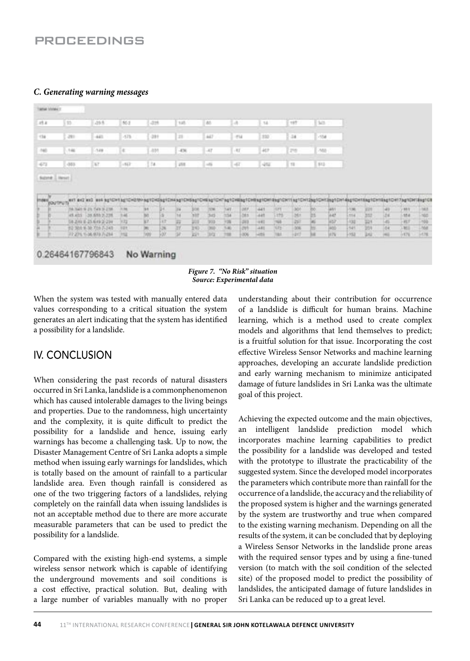#### *C. Generating warning messages*

| 11.4  | 125                                             | 49.5                                           | 86.2        | $-228$     |      | 145       |             | dil-                                                     | L4.           |                     | 14                |              | 197             | 145    |                |              |                                     |          |                      |                                                               |
|-------|-------------------------------------------------|------------------------------------------------|-------------|------------|------|-----------|-------------|----------------------------------------------------------|---------------|---------------------|-------------------|--------------|-----------------|--------|----------------|--------------|-------------------------------------|----------|----------------------|---------------------------------------------------------------|
| $+54$ | $-281$                                          | $+41$                                          | $-173$      | $-281$     |      | m         |             | 447                                                      |               | 114                 | 332               |              | $-14$           | $-158$ |                |              |                                     |          |                      |                                                               |
| $+00$ | 146                                             | 148                                            | ĸ           | $-001$     |      | $+36$     |             | $-47$                                                    |               | $-111$              | 407               |              | 79              | $-500$ |                |              |                                     |          |                      |                                                               |
|       |                                                 | Dat                                            |             | $+4$       |      |           |             |                                                          |               |                     |                   |              |                 |        |                |              |                                     |          |                      |                                                               |
| 472   | $-341$<br>Size Literat                          |                                                | $+167$      |            |      | 255       |             | $-46$                                                    | $-47$         |                     | 492               |              | $T\overline{a}$ | 112    |                |              |                                     |          |                      |                                                               |
|       | most pourtrum <sup>ent</sup> and and assistance |                                                |             |            |      |           |             | NETCHENETCHKNETCHENETCHKNETCH?NETCHRINETCHFKNETCH?RHETCH |               |                     |                   |              | <b>NOTCHTON</b> |        | <b>English</b> |              | <b><i>ANSICHTRASTCHTEMETOHT</i></b> |          |                      |                                                               |
|       |                                                 | he has a zo has a zon                          | 11.76       | <b>INK</b> |      | m         | 208         | 75%                                                      |               | <b>DEF</b>          | 441               | $-171$       |                 |        | ian'i          | (136)        | uп                                  | 41       | <b>MIL</b>           |                                                               |
|       |                                                 | 45.403 35.659.239                              | 14          | M<br>WF.   | $+7$ | <b>TH</b> | <b>Sitt</b> | 345                                                      | 盟             | <b>bis</b>          | <b>ART</b>        | 1175         | 罰               |        | laaf           | 114          | Sir                                 | Ш        | 10.8                 |                                                               |
|       |                                                 | 58.249 E-25.649.2-234<br>EQ 304 9-30 704 7-241 | 3.72<br>121 |            | ×    | m<br>m    | 309<br>240  | 353<br>300                                               | $-24$<br>5.40 | $-242$<br><b>JW</b> | $+12$<br>$-4.8\%$ | $+48$<br>un. | ZE.<br>306      |        | $+57$<br>io)   | - 13d<br>941 | 329<br>209                          | as<br>14 | $-15.7$<br><b>MI</b> | NI<br><b>NGC</b><br>sid<br>$\overline{\gamma(\rho)}$<br>14.78 |

#### *Figure 7. "No Risk" situation Source: Experimental data*

When the system was tested with manually entered data values corresponding to a critical situation the system generates an alert indicating that the system has identified a possibility for a landslide.

## IV. CONCLUSION

When considering the past records of natural disasters occurred in Sri Lanka, landslide is a commonphenomenon which has caused intolerable damages to the living beings and properties. Due to the randomness, high uncertainty and the complexity, it is quite difficult to predict the possibility for a landslide and hence, issuing early warnings has become a challenging task. Up to now, the Disaster Management Centre of Sri Lanka adopts a simple method when issuing early warnings for landslides, which is totally based on the amount of rainfall to a particular landslide area. Even though rainfall is considered as one of the two triggering factors of a landslides, relying completely on the rainfall data when issuing landslides is not an acceptable method due to there are more accurate measurable parameters that can be used to predict the possibility for a landslide.

Compared with the existing high-end systems, a simple wireless sensor network which is capable of identifying the underground movements and soil conditions is a cost effective, practical solution. But, dealing with a large number of variables manually with no proper understanding about their contribution for occurrence of a landslide is difficult for human brains. Machine learning, which is a method used to create complex models and algorithms that lend themselves to predict; is a fruitful solution for that issue. Incorporating the cost effective Wireless Sensor Networks and machine learning approaches, developing an accurate landslide prediction and early warning mechanism to minimize anticipated damage of future landslides in Sri Lanka was the ultimate goal of this project.

Achieving the expected outcome and the main objectives, an intelligent landslide prediction model which incorporates machine learning capabilities to predict the possibility for a landslide was developed and tested with the prototype to illustrate the practicability of the suggested system. Since the developed model incorporates the parameters which contribute more than rainfall for the occurrence of a landslide, the accuracy and the reliability of the proposed system is higher and the warnings generated by the system are trustworthy and true when compared to the existing warning mechanism. Depending on all the results of the system, it can be concluded that by deploying a Wireless Sensor Networks in the landslide prone areas with the required sensor types and by using a fine-tuned version (to match with the soil condition of the selected site) of the proposed model to predict the possibility of landslides, the anticipated damage of future landslides in Sri Lanka can be reduced up to a great level.